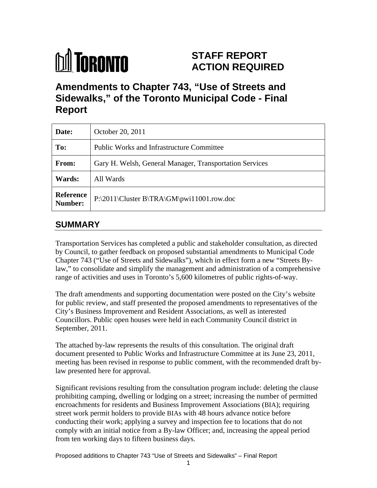

# **STAFF REPORT ACTION REQUIRED**

**Amendments to Chapter 743, "Use of Streets and Sidewalks," of the Toronto Municipal Code - Final Report**

| Date:                              | October 20, 2011                                              |
|------------------------------------|---------------------------------------------------------------|
| To:                                | <b>Public Works and Infrastructure Committee</b>              |
| <b>From:</b>                       | Gary H. Welsh, General Manager, Transportation Services       |
| Wards:                             | All Wards                                                     |
| <b>Reference</b><br><b>Number:</b> | $ P:\2011\backslash Cluster\ B\{TRA\}\{GW\}$ pwi11001.row.doc |

### **SUMMARY**

Transportation Services has completed a public and stakeholder consultation, as directed by Council, to gather feedback on proposed substantial amendments to Municipal Code Chapter 743 ("Use of Streets and Sidewalks"), which in effect form a new "Streets Bylaw," to consolidate and simplify the management and administration of a comprehensive range of activities and uses in Toronto's 5,600 kilometres of public rights-of-way.

The draft amendments and supporting documentation were posted on the City's website for public review, and staff presented the proposed amendments to representatives of the City's Business Improvement and Resident Associations, as well as interested Councillors. Public open houses were held in each Community Council district in September, 2011.

The attached by-law represents the results of this consultation. The original draft document presented to Public Works and Infrastructure Committee at its June 23, 2011, meeting has been revised in response to public comment, with the recommended draft bylaw presented here for approval.

Significant revisions resulting from the consultation program include: deleting the clause prohibiting camping, dwelling or lodging on a street; increasing the number of permitted encroachments for residents and Business Improvement Associations (BIA); requiring street work permit holders to provide BIAs with 48 hours advance notice before conducting their work; applying a survey and inspection fee to locations that do not comply with an initial notice from a By-law Officer; and, increasing the appeal period from ten working days to fifteen business days.

Proposed additions to Chapter 743 "Use of Streets and Sidewalks" – Final Report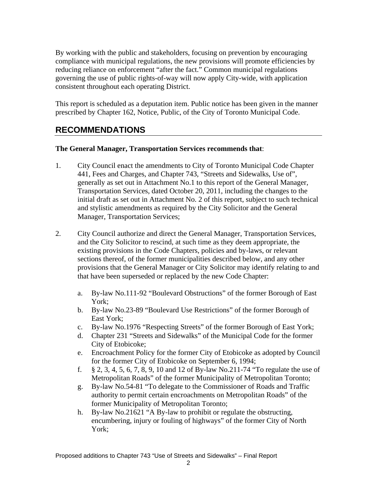By working with the public and stakeholders, focusing on prevention by encouraging compliance with municipal regulations, the new provisions will promote efficiencies by reducing reliance on enforcement "after the fact." Common municipal regulations governing the use of public rights-of-way will now apply City-wide, with application consistent throughout each operating District.

This report is scheduled as a deputation item. Public notice has been given in the manner prescribed by Chapter 162, Notice, Public, of the City of Toronto Municipal Code.

### **RECOMMENDATIONS**

#### **The General Manager, Transportation Services recommends that**:

- 1. City Council enact the amendments to City of Toronto Municipal Code Chapter 441, Fees and Charges, and Chapter 743, "Streets and Sidewalks, Use of", generally as set out in Attachment No.1 to this report of the General Manager, Transportation Services, dated October 20, 2011, including the changes to the initial draft as set out in Attachment No. 2 of this report, subject to such technical and stylistic amendments as required by the City Solicitor and the General Manager, Transportation Services;
- 2. City Council authorize and direct the General Manager, Transportation Services, and the City Solicitor to rescind, at such time as they deem appropriate, the existing provisions in the Code Chapters, policies and by-laws, or relevant sections thereof, of the former municipalities described below, and any other provisions that the General Manager or City Solicitor may identify relating to and that have been superseded or replaced by the new Code Chapter:
	- a. By-law No.111-92 "Boulevard Obstructions" of the former Borough of East York;
	- b. By-law No.23-89 "Boulevard Use Restrictions" of the former Borough of East York;
	- c. By-law No.1976 "Respecting Streets" of the former Borough of East York;
	- d. Chapter 231 "Streets and Sidewalks" of the Municipal Code for the former City of Etobicoke;
	- e. Encroachment Policy for the former City of Etobicoke as adopted by Council for the former City of Etobicoke on September 6, 1994;
	- f. § 2, 3, 4, 5, 6, 7, 8, 9, 10 and 12 of By-law No.211-74 "To regulate the use of Metropolitan Roads" of the former Municipality of Metropolitan Toronto;
	- g. By-law No.54-81 "To delegate to the Commissioner of Roads and Traffic authority to permit certain encroachments on Metropolitan Roads" of the former Municipality of Metropolitan Toronto;
	- h. By-law No.21621 "A By-law to prohibit or regulate the obstructing, encumbering, injury or fouling of highways" of the former City of North York: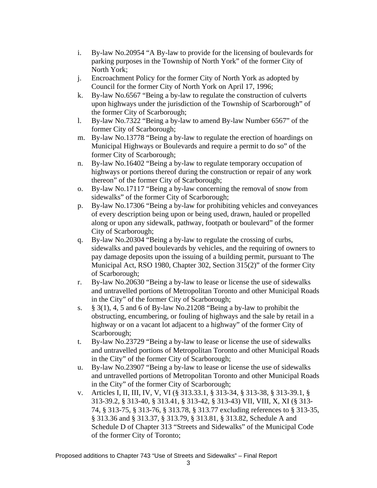- i. By-law No.20954 "A By-law to provide for the licensing of boulevards for parking purposes in the Township of North York" of the former City of North York;
- j. Encroachment Policy for the former City of North York as adopted by
- Council for the former City of North York on April 17, 1996; k. By-law No.6567 "Being a by-law to regulate the construction of culverts upon highways under the jurisdiction of the Township of Scarborough" of the former City of Scarborough;
- l. By-law No.7322 "Being a by-law to amend By-law Number 6567" of the former City of Scarborough;
- m. By-law No.13778 "Being a by-law to regulate the erection of hoardings on Municipal Highways or Boulevards and require a permit to do so" of the former City of Scarborough;
- n. By-law No.16402 "Being a by-law to regulate temporary occupation of highways or portions thereof during the construction or repair of any work thereon" of the former City of Scarborough;
- o. By-law No.17117 "Being a by-law concerning the removal of snow from sidewalks" of the former City of Scarborough;
- p. By-law No.17306 "Being a by-law for prohibiting vehicles and conveyances of every description being upon or being used, drawn, hauled or propelled along or upon any sidewalk, pathway, footpath or boulevard" of the former City of Scarborough;
- q. By-law No.20304 "Being a by-law to regulate the crossing of curbs, sidewalks and paved boulevards by vehicles, and the requiring of owners to pay damage deposits upon the issuing of a building permit, pursuant to The Municipal Act, RSO 1980, Chapter 302, Section 315(2)" of the former City of Scarborough;
- r. By-law No.20630 "Being a by-law to lease or license the use of sidewalks and untravelled portions of Metropolitan Toronto and other Municipal Roads in the City" of the former City of Scarborough;
- s. § 3(1), 4, 5 and 6 of By-law No.21208 "Being a by-law to prohibit the obstructing, encumbering, or fouling of highways and the sale by retail in a highway or on a vacant lot adjacent to a highway" of the former City of Scarborough; see that the set of the set of the set of the set of the set of the set of the set of the set of the set of the set of the set of the set of the set of the set of the set of the set of the set of the set of th
- t. By-law No.23729 "Being a by-law to lease or license the use of sidewalks and untravelled portions of Metropolitan Toronto and other Municipal Roads in the City" of the former City of Scarborough;
- u. By-law No.23907 "Being a by-law to lease or license the use of sidewalks and untravelled portions of Metropolitan Toronto and other Municipal Roads in the City" of the former City of Scarborough;
- v. Articles I, II, III, IV, V, VI (§ 313.33.1, § 313-34, § 313-38, § 313-39.1, § 313-39.2, § 313-40, § 313.41, § 313-42, § 313-43) VII, VIII, X, XI (§ 313- 74, § 313-75, § 313-76, § 313.78, § 313.77 excluding references to § 313-35, § 313.36 and § 313.37, § 313.79, § 313.81, § 313.82, Schedule A and Schedule D of Chapter 313 "Streets and Sidewalks" of the Municipal Code of the former City of Toronto;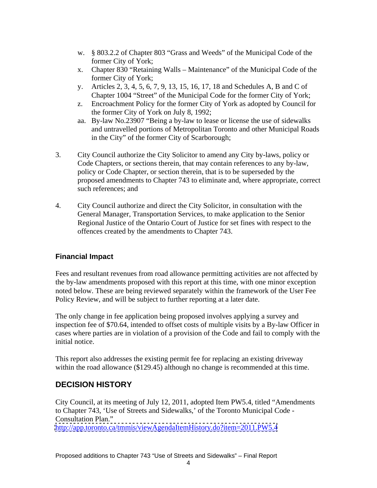- w. § 803.2.2 of Chapter 803 "Grass and Weeds" of the Municipal Code of the former City of York;
- x. Chapter 830 "Retaining Walls Maintenance" of the Municipal Code of the former City of York;
- y. Articles 2, 3, 4, 5, 6, 7, 9, 13, 15, 16, 17, 18 and Schedules A, B and C of Chapter 1004 "Street" of the Municipal Code for the former City of York;
- z. Encroachment Policy for the former City of York as adopted by Council for the former City of York on July 8, 1992;
- aa. By-law No.23907 "Being a by-law to lease or license the use of sidewalks and untravelled portions of Metropolitan Toronto and other Municipal Roads in the City" of the former City of Scarborough;
- 3. City Council authorize the City Solicitor to amend any City by-laws, policy or Code Chapters, or sections therein, that may contain references to any by-law, policy or Code Chapter, or section therein, that is to be superseded by the proposed amendments to Chapter 743 to eliminate and, where appropriate, correct such references; and such a set of  $\alpha$  such a set of  $\alpha$  such a set of  $\alpha$  such a set of  $\alpha$  such a set of  $\alpha$
- 4. City Council authorize and direct the City Solicitor, in consultation with the General Manager, Transportation Services, to make application to the Senior Regional Justice of the Ontario Court of Justice for set fines with respect to the offences created by the amendments to Chapter 743.

#### **Financial Impact**

Fees and resultant revenues from road allowance permitting activities are not affected by the by-law amendments proposed with this report at this time, with one minor exception noted below. These are being reviewed separately within the framework of the User Fee Policy Review, and will be subject to further reporting at a later date.

The only change in fee application being proposed involves applying a survey and inspection fee of \$70.64, intended to offset costs of multiple visits by a By-law Officer in cases where parties are in violation of a provision of the Code and fail to comply with the initial notice.

This report also addresses the existing permit fee for replacing an existing driveway within the road allowance (\$129.45) although no change is recommended at this time.

### **DECISION HISTORY**

City Council, at its meeting of July 12, 2011, adopted Item PW5.4, titled "Amendments to Chapter 743, 'Use of Streets and Sidewalks,' of the Toronto Municipal Code - Consultation Plan."

<http://app.toronto.ca/tmmis/viewAgendaItemHistory.do?item=2011.PW5.4>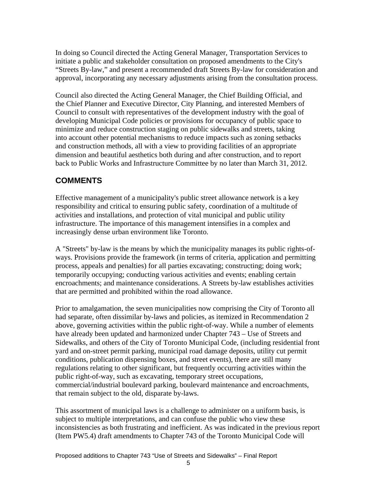In doing so Council directed the Acting General Manager, Transportation Services to initiate a public and stakeholder consultation on proposed amendments to the City's "Streets By-law," and present a recommended draft Streets By-law for consideration and approval, incorporating any necessary adjustments arising from the consultation process.

Council also directed the Acting General Manager, the Chief Building Official, and the Chief Planner and Executive Director, City Planning, and interested Members of Council to consult with representatives of the development industry with the goal of developing Municipal Code policies or provisions for occupancy of public space to minimize and reduce construction staging on public sidewalks and streets, taking into account other potential mechanisms to reduce impacts such as zoning setbacks and construction methods, all with a view to providing facilities of an appropriate dimension and beautiful aesthetics both during and after construction, and to report back to Public Works and Infrastructure Committee by no later than March 31, 2012.

## **COMMENTS**

Effective management of a municipality's public street allowance network is a key responsibility and critical to ensuring public safety, coordination of a multitude of activities and installations, and protection of vital municipal and public utility infrastructure. The importance of this management intensifies in a complex and increasingly dense urban environment like Toronto.

A "Streets" by-law is the means by which the municipality manages its public rights-of ways. Provisions provide the framework (in terms of criteria, application and permitting process, appeals and penalties) for all parties excavating; constructing; doing work; temporarily occupying; conducting various activities and events; enabling certain encroachments; and maintenance considerations. A Streets by-law establishes activities that are permitted and prohibited within the road allowance.

Prior to amalgamation, the seven municipalities now comprising the City of Toronto all had separate, often dissimilar by-laws and policies, as itemized in Recommendation 2 above, governing activities within the public right-of-way. While a number of elements have already been updated and harmonized under Chapter 743 – Use of Streets and Sidewalks, and others of the City of Toronto Municipal Code, (including residential front yard and on-street permit parking, municipal road damage deposits, utility cut permit conditions, publication dispensing boxes, and street events), there are still many regulations relating to other significant, but frequently occurring activities within the public right-of-way, such as excavating, temporary street occupations, commercial/industrial boulevard parking, boulevard maintenance and encroachments, that remain subject to the old, disparate by-laws.

This assortment of municipal laws is a challenge to administer on a uniform basis, is subject to multiple interpretations, and can confuse the public who view these inconsistencies as both frustrating and inefficient. As was indicated in the previous report (Item PW5.4) draft amendments to Chapter 743 of the Toronto Municipal Code will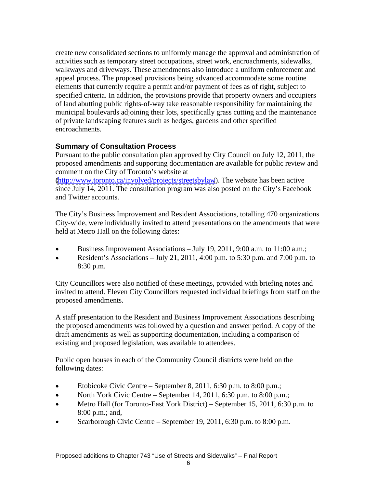create new consolidated sections to uniformly manage the approval and administration of activities such as temporary street occupations, street work, encroachments, sidewalks, walkways and driveways. These amendments also introduce a uniform enforcement and appeal process. The proposed provisions being advanced accommodate some routine elements that currently require a permit and/or payment of fees as of right, subject to specified criteria. In addition, the provisions provide that property owners and occupiers of land abutting public rights-of-way take reasonable responsibility for maintaining the municipal boulevards adjoining their lots, specifically grass cutting and the maintenance of private landscaping features such as hedges, gardens and other specified encroachments.

#### **Summary of Consultation Process**

Pursuant to the public consultation plan approved by City Council on July 12, 2011, the proposed amendments and supporting documentation are available for public review and comment on the City of Toronto's website at

[\(http://www.toronto.ca/involved/projects/streetsbylaw](http://www.toronto.ca/involved/projects/streetsbylaw)). The website has been active since July 14, 2011. The consultation program was also posted on the City's Facebook and Twitter accounts.

The City's Business Improvement and Resident Associations, totalling 470 organizations City-wide, were individually invited to attend presentations on the amendments that were held at Metro Hall on the following dates:

- Business Improvement Associations July 19, 2011, 9:00 a.m. to 11:00 a.m.;
- Resident's Associations July 21, 2011, 4:00 p.m. to 5:30 p.m. and 7:00 p.m. to  $\bullet$ 8:30 p.m.

City Councillors were also notified of these meetings, provided with briefing notes and invited to attend. Eleven City Councillors requested individual briefings from staff on the proposed amendments.

A staff presentation to the Resident and Business Improvement Associations describing the proposed amendments was followed by a question and answer period. A copy of the draft amendments as well as supporting documentation, including a comparison of existing and proposed legislation, was available to attendees.

Public open houses in each of the Community Council districts were held on the following dates:

- Etobicoke Civic Centre September 8, 2011, 6:30 p.m. to 8:00 p.m.;
- North York Civic Centre September 14, 2011, 6:30 p.m. to 8:00 p.m.;  $\bullet$
- Metro Hall (for Toronto-East York District) September 15, 2011, 6:30 p.m. to  $\bullet$ 8:00 p.m.; and,
- Scarborough Civic Centre September 19, 2011, 6:30 p.m. to 8:00 p.m.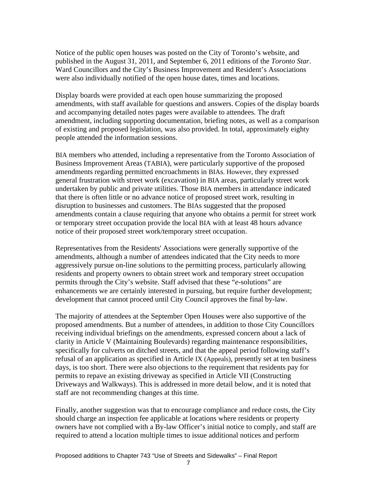Notice of the public open houses was posted on the City of Toronto's website, and published in the August 31, 2011, and September 6, 2011 editions of the *Toronto Star*. Ward Councillors and the City's Business Improvement and Resident's Associations were also individually notified of the open house dates, times and locations.

Display boards were provided at each open house summarizing the proposed amendments, with staff available for questions and answers. Copies of the display boards and accompanying detailed notes pages were available to attendees. The draft amendment, including supporting documentation, briefing notes, as well as a comparison of existing and proposed legislation, was also provided. In total, approximately eighty people attended the information sessions.

BIA members who attended, including a representative from the Toronto Association of Business Improvement Areas (TABIA), were particularly supportive of the proposed amendments regarding permitted encroachments in BIAs. However, they expressed general frustration with street work (excavation) in BIA areas, particularly street work undertaken by public and private utilities. Those BIA members in attendance indicated that there is often little or no advance notice of proposed street work, resulting in disruption to businesses and customers. The BIAs suggested that the proposed amendments contain a clause requiring that anyone who obtains a permit for street work or temporary street occupation provide the local BIA with at least 48 hours advance notice of their proposed street work/temporary street occupation.

Representatives from the Residents' Associations were generally supportive of the amendments, although a number of attendees indicated that the City needs to more aggressively pursue on-line solutions to the permitting process, particularly allowing residents and property owners to obtain street work and temporary street occupation permits through the City's website. Staff advised that these "*e*-solutions" are enhancements we are certainly interested in pursuing, but require further development; development that cannot proceed until City Council approves the final by-law.

The majority of attendees at the September Open Houses were also supportive of the proposed amendments. But a number of attendees, in addition to those City Councillors receiving individual briefings on the amendments, expressed concern about a lack of clarity in Article V (Maintaining Boulevards) regarding maintenance responsibilities, specifically for culverts on ditched streets, and that the appeal period following staff's refusal of an application as specified in Article IX (Appeals), presently set at ten business days, is too short. There were also objections to the requirement that residents pay for permits to repave an existing driveway as specified in Article VII (Constructing Driveways and Walkways). This is addressed in more detail below, and it is noted that staff are not recommending changes at this time.

Finally, another suggestion was that to encourage compliance and reduce costs, the City should charge an inspection fee applicable at locations where residents or property owners have not complied with a By-law Officer's initial notice to comply, and staff are required to attend a location multiple times to issue additional notices and perform

7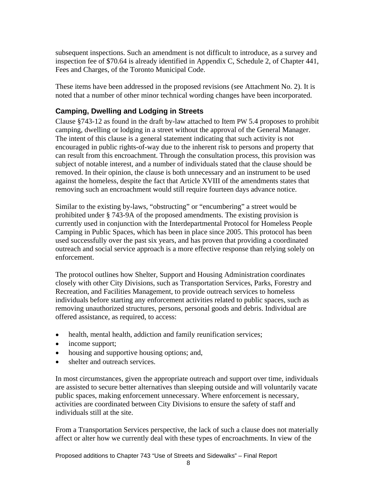subsequent inspections. Such an amendment is not difficult to introduce, as a survey and inspection fee of \$70.64 is already identified in Appendix C, Schedule 2, of Chapter 441, Fees and Charges, of the Toronto Municipal Code.

These items have been addressed in the proposed revisions (see Attachment No. 2). It is noted that a number of other minor technical wording changes have been incorporated.

#### **Camping, Dwelling and Lodging in Streets**

Clause §743-12 as found in the draft by-law attached to Item PW 5.4 proposes to prohibit camping, dwelling or lodging in a street without the approval of the General Manager. The intent of this clause is a general statement indicating that such activity is not encouraged in public rights-of-way due to the inherent risk to persons and property that can result from this encroachment. Through the consultation process, this provision was subject of notable interest, and a number of individuals stated that the clause should be removed. In their opinion, the clause is both unnecessary and an instrument to be used against the homeless, despite the fact that Article XVIII of the amendments states that removing such an encroachment would still require fourteen days advance notice.

Similar to the existing by-laws, "obstructing" or "encumbering" a street would be prohibited under § 743-9A of the proposed amendments. The existing provision is currently used in conjunction with the Interdepartmental Protocol for Homeless People Camping in Public Spaces, which has been in place since 2005. This protocol has been used successfully over the past six years, and has proven that providing a coordinated outreach and social service approach is a more effective response than relying solely on enforcement.

The protocol outlines how Shelter, Support and Housing Administration coordinates closely with other City Divisions, such as Transportation Services, Parks, Forestry and Recreation, and Facilities Management, to provide outreach services to homeless individuals before starting any enforcement activities related to public spaces, such as removing unauthorized structures, persons, personal goods and debris. Individual are offered assistance, as required, to access:

- $\bullet$ health, mental health, addiction and family reunification services;
- income support;
- housing and supportive housing options; and,
- shelter and outreach services.

In most circumstances, given the appropriate outreach and support over time, individuals are assisted to secure better alternatives than sleeping outside and will voluntarily vacate public spaces, making enforcement unnecessary. Where enforcement is necessary, activities are coordinated between City Divisions to ensure the safety of staff and individuals still at the site.

From a Transportation Services perspective, the lack of such a clause does not materially affect or alter how we currently deal with these types of encroachments. In view of the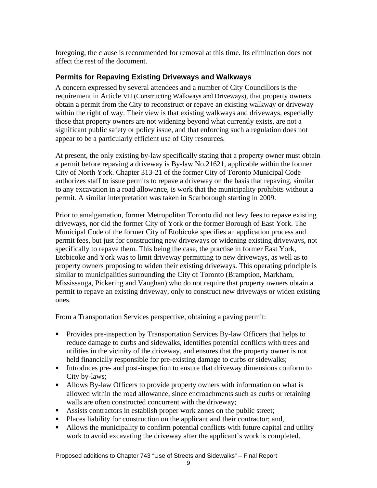foregoing, the clause is recommended for removal at this time. Its elimination does not affect the rest of the document.

#### **Permits for Repaving Existing Driveways and Walkways**

A concern expressed by several attendees and a number of City Councillors is the requirement in Article VII (Constructing Walkways and Driveways), that property owners obtain a permit from the City to reconstruct or repave an existing walkway or driveway within the right of way. Their view is that existing walkways and driveways, especially those that property owners are not widening beyond what currently exists, are not a significant public safety or policy issue, and that enforcing such a regulation does not appear to be a particularly efficient use of City resources.

At present, the only existing by-law specifically stating that a property owner must obtain a permit before repaving a driveway is By-law No.21621, applicable within the former City of North York. Chapter 313-21 of the former City of Toronto Municipal Code authorizes staff to issue permits to repave a driveway on the basis that repaving, similar to any excavation in a road allowance, is work that the municipality prohibits without a permit. A similar interpretation was taken in Scarborough starting in 2009.

Prior to amalgamation, former Metropolitan Toronto did not levy fees to repave existing driveways, nor did the former City of York or the former Borough of East York. The Municipal Code of the former City of Etobicoke specifies an application process and permit fees, but just for constructing new driveways or widening existing driveways, not specifically to repave them. This being the case, the practise in former East York, Etobicoke and York was to limit driveway permitting to new driveways, as well as to property owners proposing to widen their existing driveways. This operating principle is similar to municipalities surrounding the City of Toronto (Bramption, Markham, Mississauga, Pickering and Vaughan) who do not require that property owners obtain a permit to repave an existing driveway, only to construct new driveways or widen existing ones.

From a Transportation Services perspective, obtaining a paving permit:

- **Provides pre-inspection by Transportation Services By-law Officers that helps to** reduce damage to curbs and sidewalks, identifies potential conflicts with trees and utilities in the vicinity of the driveway, and ensures that the property owner is not held financially responsible for pre-existing damage to curbs or sidewalks;
- Introduces pre- and post-inspection to ensure that driveway dimensions conform to City by-laws;
- Allows By-law Officers to provide property owners with information on what is allowed within the road allowance, since encroachments such as curbs or retaining walls are often constructed concurrent with the driveway;
- Assists contractors in establish proper work zones on the public street;
- Places liability for construction on the applicant and their contractor; and,
- Allows the municipality to confirm potential conflicts with future capital and utility work to avoid excavating the driveway after the applicant's work is completed.

Proposed additions to Chapter 743 "Use of Streets and Sidewalks" – Final Report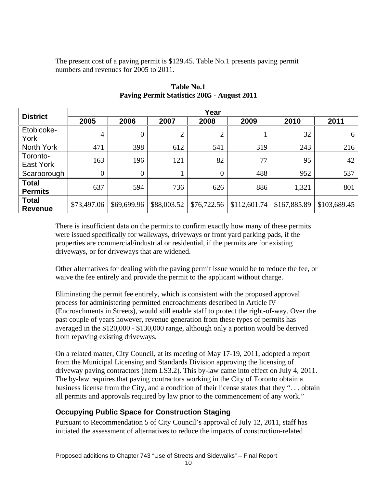The present cost of a paving permit is \$129.45. Table No.1 presents paving permit numbers and revenues for 2005 to 2011.

| <b>District</b>                      | Year |      |      |                 |                  |                                                                                                                                         |      |
|--------------------------------------|------|------|------|-----------------|------------------|-----------------------------------------------------------------------------------------------------------------------------------------|------|
|                                      | 2005 | 2006 | 2007 | 2008            | 2009             | 2010                                                                                                                                    | 2011 |
| Etobicoke-                           |      |      |      |                 |                  |                                                                                                                                         |      |
| York<br>North York                   | 471  | 398  | 612  | 54 <sup>°</sup> | 319 <sup>'</sup> | 243                                                                                                                                     | 216  |
| Toronto-                             |      |      |      |                 |                  |                                                                                                                                         |      |
| East York                            | 163  | 196  | 121  | -82             |                  |                                                                                                                                         | 42   |
| Scarborough                          |      |      |      |                 | 488              | 052                                                                                                                                     | 537  |
| Total<br>Permits                     | 637  | 594  | 736  | 626             | 886              | 1,32.                                                                                                                                   | 801  |
| <sup> </sup> Total<br><b>Revenue</b> |      |      |      |                 |                  | $\mid$ \$73,497.06 $\mid$ \$69,699.96 $\mid$ \$88,003.52 $\mid$ \$76,722.56 $\mid$ \$112,601.74 $\mid$ \$167,885.89 $\mid$ \$103,689.45 |      |

**Table No.1 Paving Permit Statistics 2005 - August 2011**

There is insufficient data on the permits to confirm exactly how many of these permits were issued specifically for walkways, driveways or front yard parking pads, if the properties are commercial/industrial or residential, if the permits are for existing driveways, or for driveways that are widened.

Other alternatives for dealing with the paving permit issue would be to reduce the fee, or waive the fee entirely and provide the permit to the applicant without charge. Eliminating the permit fee entirely, which is consistent with the proposed approval

process for administering permitted encroachments described in Article IV (Encroachments in Streets), would still enable staff to protect the right-of-way. Over the past couple of years however, revenue generation from these types of permits has averaged in the \$120,000 - \$130,000 range, although only a portion would be derived from repaving existing driveways.

On a related matter, City Council, at its meeting of May 17-19, 2011, adopted a report from the Municipal Licensing and Standards Division approving the licensing of driveway paving contractors (Item LS3.2). This by-law came into effect on July 4, 2011. The by-law requires that paving contractors working in the City of Toronto obtain a business license from the City, and a condition of their license states that they ". . . obtain all permits and approvals required by law prior to the commencement of any work."

### **Occupying Public Space for Construction Staging**

Pursuant to Recommendation 5 of City Council's approval of July 12, 2011, staff has initiated the assessment of alternatives to reduce the impacts of construction-related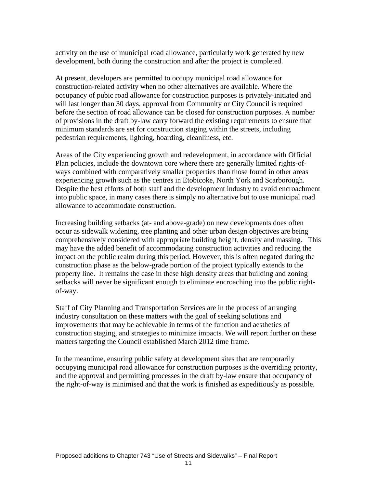activity on the use of municipal road allowance, particularly work generated by new development, both during the construction and after the project is completed.

At present, developers are permitted to occupy municipal road allowance for construction-related activity when no other alternatives are available. Where the occupancy of pubic road allowance for construction purposes is privately-initiated and will last longer than 30 days, approval from Community or City Council is required before the section of road allowance can be closed for construction purposes. A number of provisions in the draft by-law carry forward the existing requirements to ensure that minimum standards are set for construction staging within the streets, including pedestrian requirements, lighting, hoarding, cleanliness, etc.

Areas of the City experiencing growth and redevelopment, in accordance with Official Plan policies, include the downtown core where there are generally limited rights-of ways combined with comparatively smaller properties than those found in other areas experiencing growth such as the centres in Etobicoke, North York and Scarborough. Despite the best efforts of both staff and the development industry to avoid encroachment into public space, in many cases there is simply no alternative but to use municipal road allowance to accommodate construction.

Increasing building setbacks (at- and above-grade) on new developments does often occur as sidewalk widening, tree planting and other urban design objectives are being comprehensively considered with appropriate building height, density and massing. This may have the added benefit of accommodating construction activities and reducing the impact on the public realm during this period. However, this is often negated during the construction phase as the below-grade portion of the project typically extends to the property line. It remains the case in these high density areas that building and zoning setbacks will never be significant enough to eliminate encroaching into the public right of-way.

Staff of City Planning and Transportation Services are in the process of arranging industry consultation on these matters with the goal of seeking solutions and improvements that may be achievable in terms of the function and aesthetics of construction staging, and strategies to minimize impacts. We will report further on these matters targeting the Council established March 2012 time frame.<br>In the meantime, ensuring public safety at development sites that are temporarily

occupying municipal road allowance for construction purposes is the overriding priority, and the approval and permitting processes in the draft by-law ensure that occupancy of the right-of-way is minimised and that the work is finished as expeditiously as possible.